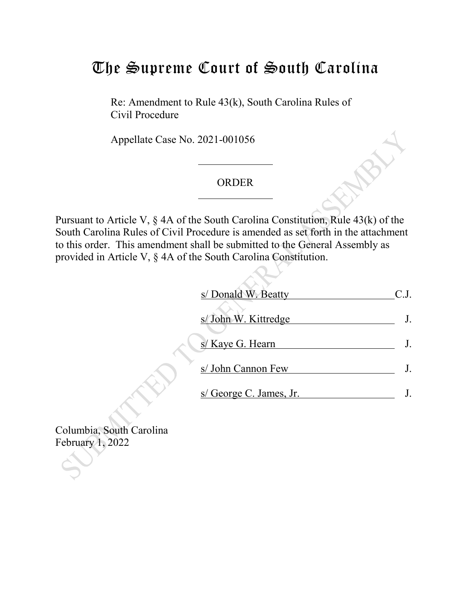## The Supreme Court of South Carolina

Re: Amendment to Rule 43(k), South Carolina Rules of Civil Procedure

Appellate Case No. 2021-001056

## ORDER

Pursuant to Article V, § 4A of the South Carolina Constitution, Rule 43(k) of the South Carolina Rules of Civil Procedure is amended as set forth in the attachment to this order. This amendment shall be submitted to the General Assembly as provided in Article V, § 4A of the South Carolina Constitution.

| s/ Donald W. Beatty     |  |
|-------------------------|--|
| s/ John W. Kittredge    |  |
| s/ Kaye G. Hearn        |  |
| s/ John Cannon Few      |  |
| s/ George C. James, Jr. |  |

Columbia, South Carolina February 1, 2022